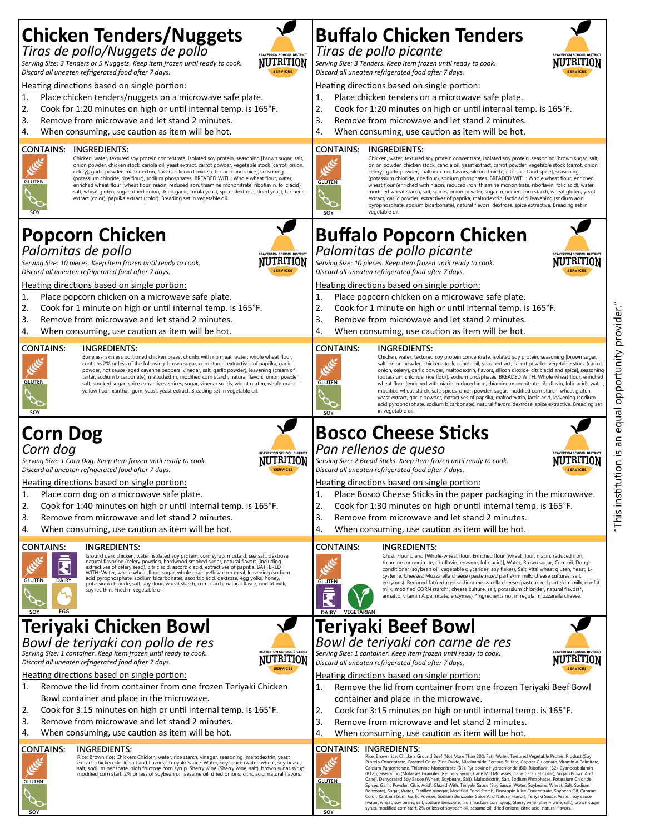## **Chicken Tenders/Nuggets** *Tiras de pollo/Nuggets de pollo*

**NUTRITION** 

*Serving Size: 3 Tenders or 5 Nuggets. Keep item frozen until ready to cook. Discard all uneaten refrigerated food after 7 days.* 

Heating directions based on single portion:

- 1. Place chicken tenders/nuggets on a microwave safe plate.
- 2. Cook for 1:20 minutes on high or until internal temp. is 165°F.
- 3. Remove from microwave and let stand 2 minutes.
- 4. When consuming, use caution as item will be hot.

#### **CONTAINS: INGREDIENTS:**

Chicken, water, textured soy protein concentrate, isolated soy protein, seasoning [brown sugar, salt, onion powder, chicken stock, canola oil, yeast extract, carrot powder, vegetable stock (carrot, onion, celery), garlic powder, maltodextrin, flavors, silicon dioxide, citric acid and spice], seasoning (potassium chloride, rice flour), sodium phosphates. BREADED WITH: Whole wheat flour, water, enriched wheat flour (wheat flour, niacin, reduced iron, thiamine mononitrate, riboflavin, folic acid),<br>salt, wheat gluten, sugar, dried onion, dried garlic, torula yeast, spice, dextrose, dried yeast, turmeric extract (color), paprika extract (color). Breading set in vegetable oil.

## **Popcorn Chicken** *Palomitas de pollo*



*Serving Size: 10 pieces. Keep item frozen until ready to cook. Discard all uneaten refrigerated food after 7 days.* 

Heating directions based on single portion:

- 1. Place popcorn chicken on a microwave safe plate.
- 2. Cook for 1 minute on high or until internal temp. is 165°F.
- 3. Remove from microwave and let stand 2 minutes.
- 4. When consuming, use caution as item will be hot.

#### **INGREDIENTS:**



**GLUTEN**

**SOY**

Boneless, skinless portioned chicken breast chunks with rib meat, water, whole wheat flour, contains 2% or less of the following: brown sugar, corn starch, extractives of paprika, garlic powder, hot sauce (aged cayenne peppers, vinegar, salt, garlic powder), leavening (cream of tartar, sodium bicarbonate), maltodextrin, modified corn starch, natural flavors, onion powder, salt, smoked sugar, spice extractives, spices, sugar, vinegar solids, wheat gluten, whole grain yellow flour, xanthan gum, yeast, yeast extract. Breading set in vegetable oil.

## **Corn Dog** *Corn dog*

**DAIRY**

**GLUTEN**



*Serving Size: 1 Corn Dog. Keep item frozen until ready to cook. Discard all uneaten refrigerated food after 7 days.* 

Heating directions based on single portion:

- 1. Place corn dog on a microwave safe plate.
- 2. Cook for 1:40 minutes on high or until internal temp. is 165°F.
- 3. Remove from microwave and let stand 2 minutes.
- 4. When consuming, use caution as item will be hot.

## **CONTAINS:** k



Ground dark chicken, water, isolated soy protein, corn syrup, mustard, sea salt, dextrose, natural flavoring (celery powder), hardwood smoked sugar, natural flavors (including extractives of celery seed), citric acid, asco

#### **Teriyaki Chicken Bowl EGG SOY**

*Bowl de teriyaki con pollo de res Serving Size: 1 container. Keep item frozen until ready to cook. Discard all uneaten refrigerated food after 7 days.* 

Heating directions based on single portion:

- 1. Remove the lid from container from one frozen Teriyaki Chicken Bowl container and place in the microwave.
- 2. Cook for 3:15 minutes on high or until internal temp. is 165°F.
- 3. Remove from microwave and let stand 2 minutes.
- 4. When consuming, use caution as item will be hot.

#### **CONTAINS: INGREDIENTS:**

**GLUTEN**

**SOY**

Rice: Brown rice; Chicken: Chicken, water, rice starch, vinegar, seasoning (maltodextrin, yeast<br>extract, chicken stock, salt and flavors); Teriyaki Sauce: Water, soy sauce (water, wheat, soy beans,<br>salt, sodium benzoate, h

# **Buffalo Chicken Tenders**

#### *Tiras de pollo picante*

*Serving Size: 3 Tenders. Keep item frozen until ready to cook. Discard all uneaten refrigerated food after 7 days.* 

#### Heating directions based on single portion:

- 1. Place chicken tenders on a microwave safe plate.
- 2. Cook for 1:20 minutes on high or until internal temp. is 165°F.
- 3. Remove from microwave and let stand 2 minutes. 4. When consuming, use caution as item will be hot.

#### **CONTAINS: INGREDIENTS:**



Chicken, water, textured soy protein concentrate, isolated soy protein, seasoning [brov onion powder, chicken stock, canola oil, yeast extract, carrot powder, vegetable stock (carrot, onion, celery), garlic powder, maltodextrin, flavors, silicon dioxide, citric acid and spice], seasoning (potassium chloride, rice flour), sodium phosphates. BREADED WITH: Whole wheat flour, enriched wheat flour (enriched with niacin, reduced iron, thiamine mononitrate, riboflavin, folic acid), water, modified wheat starch, salt, spices, onion powder, sugar, modified corn starch, wheat gluten, yeast extract, garlic powder, extractives of paprika, maltodextrin, lactic acid, leavening (sodium acid pyrophosphate, sodium bicarbonate), natural flavors, dextrose, spice extractive. Breading set in vegetable oil.

## **Buffalo Popcorn Chicken** *Palomitas de pollo picante*

*Serving Size: 10 pieces. Keep item frozen until ready to cook. Discard all uneaten refrigerated food after 7 days.* 

#### Heating directions based on single portion:

- 1. Place popcorn chicken on a microwave safe plate.
- 2. Cook for 1 minute on high or until internal temp. is 165°F.
- 3. Remove from microwave and let stand 2 minutes.
- 4. When consuming, use caution as item will be hot.

#### **INGREDIENTS:**



Chicken, water, textured soy protein concentrate, isolated soy protein, seasoning [brown sugar, salt, onion powder, chicken stock, canola oil, yeast extract, carrot powder, vegetable stock (carrot, onion, celery), garlic powder, maltodextrin, flavors, silicon dioxide, citric acid and spice], seasoning (potassium chloride, rice flour), sodium phosphates. BREADED WITH: Whole wheat flour, enriched wheat flour (enriched with niacin, reduced iron, thiamine mononitrate, riboflavin, folic acid), water modified wheat starch, salt, spices, onion powder, sugar, modified corn starch, wheat gluten, yeast extract, garlic powder, extractives of paprika, maltodextrin, lactic acid, leavening (sodium acid pyrophosphate, sodium bicarbonate), natural flavors, dextrose, spice extractive. Breading set in vegetable oil.

# **Bosco Cheese Sticks**

#### *Pan rellenos de queso*

*Serving Size: 2 Bread Sticks. Keep item frozen until ready to cook. Discard all uneaten refrigerated food after 7 days.* 

#### Heating directions based on single portion:

- 1. Place Bosco Cheese Sticks in the paper packaging in the microwave.
- 2. Cook for 1:30 minutes on high or until internal temp. is 165°F.
- 3. Remove from microwave and let stand 2 minutes.
- 4. When consuming, use caution as item will be hot.

#### **INGREDIENTS:**



**DAIRY**

**VEGETARIAN**

Crust: Flour blend [Whole-wheat flour, Enriched flour (wheat flour, niacin, reduced iron, thiamine mononitrate, riboflavin, enzyme, folic acid)], Water, Brown sugar, Corn oil, Dough conditioner (soybean oil, vegetable glycerides, soy flakes), Salt, vital wheat gluten, Yeast, Lcysteine. Cheeses: Mozzarella cheese (pasteurized part skim milk, cheese cultures, salt, enzymes). Reduced fat/reduced sodium mozzarella cheese (pasteurized part skim milk, nonfat milk, modified CORN starch\*, cheese culture, salt, potassium chloride\*, natural flavors\*, annatto, vitamin A palmitate, enzymes), \*Ingredients not in regular mozzarella cheese.

#### **Teriyaki Beef Bowl** *Bowl de teriyaki con carne de res*

*Serving Size: 1 container. Keep item frozen until ready to cook. Discard all uneaten refrigerated food after 7 days.* 

Heating directions based on single portion:

- 1. Remove the lid from container from one frozen Teriyaki Beef Bowl container and place in the microwave.
- 2. Cook for 3:15 minutes on high or until internal temp. is 165°F.
- 3. Remove from microwave and let stand 2 minutes.
- 4. When consuming, use caution as item will be hot.

#### **CONTAINS: INGREDIENTS:**



**SOY**

Rice: Brown rice; Chicken: Ground Beef (Not More Than 20% Fat), Water, Textured Vegetable Protein Product (Soy<br>Protein Concentrate, Caramel Color, Zinc Oxide, Niacinamide, Ferrous Sulfate, Copper Gluconate, Vitamin A Palmi (B12)), Seasoning (Molasses Granules (Refinery Syrup, Cane Mill Molasses, Cane Caramel Color), Sugar (Brown And Cane), Dehydrated Soy Sauce (Wheat, Soybeans, Salt), Maltodextrin, Salt, Sodium Phosphates, Potassium Chloride, Spices, Garlic Powder, Citric Acid). Glazed With: Teriyaki Sauce (Soy Sauce (Water, Soybeans, Wheat, Salt, Sodium Benzoate), Sugar, Water, Distilled Vinegar, Modified Food Starch, Pineapple Juice Concentrate, Soybean Oil, Caramel<br>Color, Xanthan Gum, Garlic Powder, Sodium Benzoate, Spice And Natural Flavor), Teriyaki Sauce: Water, soy



"This institution is an equal opportunity provider."

equal Πg <u>ِي</u>

This institution

opportunity provider.



**NUTRITION** 





NUTRITION



**SOY**

NUTRITION

**NUTRITION**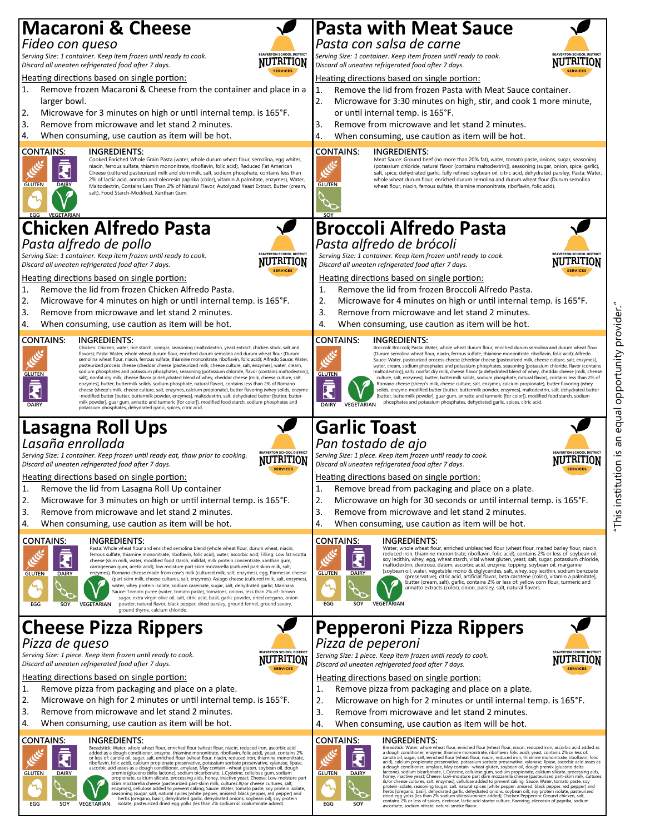# **Macaroni & Cheese**

## *Fideo con queso*

**DAIRY**

**GLUTEN**

*Serving Size: 1 container. Keep item frozen until ready to cook. Discard all uneaten refrigerated food after 7 days.* 

#### Heating directions based on single portion:

- 1. Remove frozen Macaroni & Cheese from the container and place in a larger bowl.
- 2. Microwave for 3 minutes on high or until internal temp. is 165°F.
- 3. Remove from microwave and let stand 2 minutes.
- 4. When consuming, use caution as item will be hot.

#### **CONTAINS: INGREDIENTS:**

Cooked Enriched Whole Grain Pasta (water, whole durum wheat flour, semolina, egg whites, niacin, ferrous sulfate, thiamin mononitrate, riboflavin, folic acid), Reduced Fat American Cheese (cultured pasteurized milk and skim milk, salt, sodium phosphate, contains less than 2% of lactic acid, annatto and oleoresin paprika (color), vitamin A palmitate, enzymes), Water, Maltodextrin, Contains Less Than 2% of Natural Flavor, Autolyzed Yeast Extract, Butter (cream, salt), Food Starch-Modified, Xanthan Gum.

#### **Chicken Alfredo Pasta EGG VEGETARIAN**

## *Pasta alfredo de pollo*

*Serving Size: 1 container. Keep item frozen until ready to cook. Discard all uneaten refrigerated food after 7 days.* 

Heating directions based on single portion:

- 1. Remove the lid from frozen Chicken Alfredo Pasta.
- 2. Microwave for 4 minutes on high or until internal temp. is 165°F.
- 3. Remove from microwave and let stand 2 minutes.
- 4. When consuming, use caution as item will be hot.

#### **CONTAINS: INGREDIENTS:**



Chicken: Chicken, water, rice starch, vinegar, seasoning (maltodextrin, yeast extract, chicken stock, salt and flavors); Pasta: Water, whole wheat durum flour, enriched durum semolina and durum wheat flour (Durum semolina wheat flour, niacin, ferrous sulfate, thiamine mononitrate, riboflavin, folic acid); Alfredo Sauce: Water, pasteurized process cheese (cheddar cheese [pasteurized milk, cheese culture, salt, enzymes], water, cream, sodium phosphates and potassium phosphates, seasoning [potassium chloride, flavor (contains maltodextrin)],<br>salt), nonfat dry milk, cheese flavor (a dehydrated blend of whey, cheddar cheese [milk, cheese culture, salt,<br>enz cheese (sheep's milk, cheese culture, salt, enzymes, calcium propionate), butter flavoring (whey solids, enzyme -modified butter [butter, buttermilk powder, enzymes], maltodextrin, salt, dehydrated butter [butter, buttermilk powder], guar gum, annatto and turmeric [for color]), modified food starch, sodium phosphates and potassium phosphates, dehydrated garlic, spices, citric acid.

### **Lasagna Roll Ups** *Lasaña enrollada*

**NUTRITION** 

*Serving Size: 1 container. Keep frozen until ready eat, thaw prior to cooking. Discard all uneaten refrigerated food after 7 days.* 

#### Heating directions based on single portion:

- 1. Remove the lid from Lasagna Roll Up container
- 2. Microwave for 3 minutes on high or until internal temp. is 165°F.
- 3. Remove from microwave and let stand 2 minutes.
- 4. When consuming, use caution as item will be hot.

#### **CONTAINS:** k **GLUTEN DAIRY SOY VEGETARIAN EGG**

#### **INGREDIENTS:**

Pasta: Whole wheat flour and enriched semolina blend (whole wheat flour, durum wheat, niacin, ferrous sulfate, thiamine mononitrate, riboflavin, folic acid), water, ascorbic acid; Filling: Low fat ricotta cheese (skim milk, water, modified food starch, milkfat, milk protein concentrate, xanthan gum,<br>carrageenan gum, acetic acid), low moisture part skim mozzarella (cultured part skim milk, salt,<br>enzymes), Romano cheese made (part skim milk, cheese cultures, salt, enzymes), Asiago cheese (cultured milk, salt, enzymes),<br>water, whey protein isolate, sodium caseinate, sugar, salt, dehydrated garlic; Marinara<br>Sauce: Tomato puree (water, tomato pas

powder, natural flavor, black pepper, dried parsley, ground fennel, ground savory, ground thyme, calcium chloride.

## **Cheese Pizza Rippers** *Pizza de queso*

*Serving Size: 1 piece. Keep item frozen until ready to cook. Discard all uneaten refrigerated food after 7 days.* 

Heating directions based on single portion:

- 1. Remove pizza from packaging and place on a plate.
- 2. Microwave on high for 2 minutes or until internal temp. is 165°F.
- 3. Remove from microwave and let stand 2 minutes.
- 4. When consuming, use caution as item will be hot.



S:<br>
INGREDIENTS:<br>
added as a dough conditioner, enzyme, thiamine mononitate, riboflavin, folic acid), yeast, contains 2%<br>
added as a dough conditioner, enzyme, thiamine mononitate, riboflavin, folic acid), yeast, contains

# **Pasta with Meat Sauce**

#### *Pasta con salsa de carne*

*Serving Size: 1 container. Keep item frozen until ready to cook. Discard all uneaten refrigerated food after 7 days.* 

#### Heating directions based on single portion:

- 1. Remove the lid from frozen Pasta with Meat Sauce container.
- 2. Microwave for 3:30 minutes on high, stir, and cook 1 more minute, or until internal temp. is 165°F.
- 3. Remove from microwave and let stand 2 minutes.
- 4. When consuming, use caution as item will be hot.

#### **INGREDIENTS:**



Meat Sauce: Ground beef (no more than 20% fat), water, tomato paste, onions, sugar, seasoning (potassium chloride, natural flavor [contains maltodextrin]), seasoning (sugar, onion, spice, garlic), salt, spice, dehydrated garlic, fully refined soybean oil, citric acid, dehydrated parsley; Pasta: Water, whole wheat durum flour, enriched durum semolina and durum wheat flour (Durum semolina wheat flour, niacin, ferrous sulfate, thiamine mononitrate, riboflavin, folic acid).

#### **Broccoli Alfredo Pasta** *Pasta alfredo de brócoli* **SOY**

*Serving Size: 1 container. Keep item frozen until ready to cook. Discard all uneaten refrigerated food after 7 days.* 

Heating directions based on single portion:

- 1. Remove the lid from frozen Broccoli Alfredo Pasta.
- 2. Microwave for 4 minutes on high or until internal temp. is 165°F.
- 3. Remove from microwave and let stand 2 minutes.
- 4. When consuming, use caution as item will be hot.

#### **CONTAINS: INGREDIENTS:**



Broccoli: Broccoli; Pasta: Water, whole wheat durum flour, enriched durum semolina and durum wheat flour (Durum semolina wheat flour, niacin, ferrous sulfate, thiamine mononitrate, riboflavin, folic acid); Alfredo Sauce: Water, pasteurized process cheese (cheddar cheese [pasteurized milk, cheese culture, salt, enzymes], water, cream, sodium phosphates and potassium phosphates, seasoning [potassium chloride, flavor (contains<br>matochextrin)], salt), nonfat dry milk, cheese flavor (a dehydrated blend of whey, cheddar cheese [milk, cheese<br>cult **putter, buttermilk powder], guar gum, annatto and turmeric [for color]), modified food starch, sodium VEGETARIAN**<br>**VEGETARIAN** phosphates and potassium phosphates, dehydrated garlic, spices, citric acid.

## **Garlic Toast** *Pan tostado de ajo*

*Serving Size: 1 piece. Keep item frozen until ready to cook. Discard all uneaten refrigerated food after 7 days.* 

Heating directions based on single portion:

- 1. Remove bread from packaging and place on a plate.
- 2. Microwave on high for 30 seconds or until internal temp. is 165°F.
- 3. Remove from microwave and let stand 2 minutes.
- 4. When consuming, use caution as item will be hot.

#### **INGREDIENTS:**



Water, whole wheat flour, enriched unbleached flour (wheat flour, malted barley flour, niacin, reduced iron, thiamine mononitrate, riboflavin, folic acid), contains 2% or less of: soybean oil, soy lecitinin, whey, egg, wheat starch, vital wheat gluten, years, salt, sugar, potassium chloride, matchconic microdecome o annatto extracts (color), onion, parsley, salt, natural flavors.

#### **Pepperoni Pizza Rippers** *Pizza de peperoni Serving Size: 1 piece. Keep item frozen until ready to cook.*



Heating directions based on single portion:

*Discard all uneaten refrigerated food after 7 days.* 

- 1. Remove pizza from packaging and place on a plate.
- 2. Microwave on high for 2 minutes or until internal temp. is 165°F.
- 3. Remove from microwave and let stand 2 minutes.
- 4. When consuming, use caution as item will be hot.



# S:<br>
INGREDIENTS:<br>
INGREONESTS:<br>
adough conditioner, encythe, wheat flour, encicled flour (wheat flour, naicin, reduced iron, ascorbic acid added as<br>
adough conditioner, encythe, this minimism conditation, folic add), wast,



"This institution is an equal opportunity provider."

equal Πg

his institution is

opportunity provider.





**NUTRITION** 









**NUTRITION** 

**NUTRITION** 

# **NUTRITION**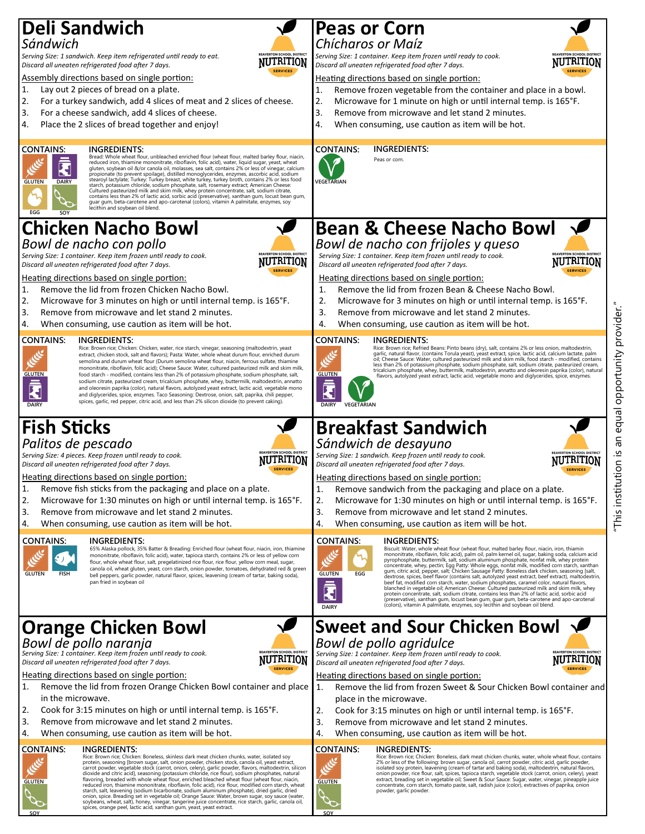# **Deli Sandwich**

#### *Sándwich*

*Serving Size: 1 sandwich. Keep item refrigerated until ready to eat. Discard all uneaten refrigerated food after 7 days.* 

Assembly directions based on single portion:

- 1. Lay out 2 pieces of bread on a plate.
- 2. For a turkey sandwich, add 4 slices of meat and 2 slices of cheese.
- 3. For a cheese sandwich, add 4 slices of cheese.
- 4. Place the 2 slices of bread together and enjoy!



#### **INGREDIENTS:**<br>Bread: Whole wheat flour, unbleached enriched flour (wheat flour, malted barley flour, niacin,

Bread: Whole wheat flour, unbleached enriched flour (wheat flour, maited barley flour, niacin, reduced iron, thiamine mononitrate, riboflavin, folic acid), water, tliquid sugar, years, where gluten, systems gluten, systems

## **Chicken Nacho Bowl** *Bowl de nacho con pollo*

*Serving Size: 1 container. Keep item frozen until ready to cook. Discard all uneaten refrigerated food after 7 days.* 

Heating directions based on single portion:

- 1. Remove the lid from frozen Chicken Nacho Bowl.
- 2. Microwave for 3 minutes on high or until internal temp. is 165°F.
- 3. Remove from microwave and let stand 2 minutes.
- 4. When consuming, use caution as item will be hot.

#### **CONTAINS: INGREDIENTS:**



Rice: Brown rice; Chicken: Chicken, water, rice starch, vinegar, seasoning (maltodextrin, yeast extract, chicken stock, salt and flavors); Pasta: Water, whole wheat durum flour, enriched durum semolina and durum wheat flour (Durum semolina wheat flour, niacin, ferrous sulfate, thiamine mononitrate, riboflavin, folic acid); Cheese Sauce: Water, cultured pasteurized milk and skim milk, food starch - modified, contains less than 2% of potassium phosphate, sodium phosphate, salt, sodium citrate, pasteurized cream, tricalcium phosphate, whey, buttermilk, maltodextrin, annatto and oleoresin paprika (color), natural flavors, autolyzed yeast extract, lactic acid, vegetable mono and diglycerides, spice, enzymes. Taco Seasoning: Dextrose, onion, salt, paprika, chili pepper, spices, garlic, red pepper, citric acid, and less than 2% silicon dioxide (to prevent caking).

## **Fish Sticks** *Palitos de pescado*



**NUTRITION** 

**NUTRITION** 

**NUTRITION** 

*Serving Size: 4 pieces. Keep frozen until ready to cook. Discard all uneaten refrigerated food after 7 days.* 

Heating directions based on single portion:

- 1. Remove fish sticks from the packaging and place on a plate.
- 2. Microwave for 1:30 minutes on high or until internal temp. is 165°F.
- 3. Remove from microwave and let stand 2 minutes.
- 4. When consuming, use caution as item will be hot.



#### **INGREDIENTS:**

65% Alaska pollock, 35% Batter & Breading: Enriched flour (wheat flour, niacin, iron, thiamine mononitrate, riboflavin, folic acid), water, tapioca starch, contains 2% or less of yellow corn flour, whole wheat flour, salt, pregelatinized rice flour, rice flour, yellow corn meal, sugar, canola oil, wheat gluten, yeast, corn starch, onion powder, tomatoes, dehydrated red & green bell peppers, garlic powder, natural flavor, spices, leavening (cream of tartar, baking soda), pan fried in soybean oil

# **Orange Chicken Bowl**

*Bowl de pollo naranja Serving Size: 1 container. Keep item frozen until ready to cook. Discard all uneaten refrigerated food after 7 days.* 

Heating directions based on single portion:

- 1. Remove the lid from frozen Orange Chicken Bowl container and place in the microwave.
- 2. Cook for 3:15 minutes on high or until internal temp. is 165°F.
- 3. Remove from microwave and let stand 2 minutes.
- 4. When consuming, use caution as item will be hot.

#### **CONTAINS: INGREDIENTS:**

**GLUTEN**

**SOY**

Rice: Brown rice; Chicken: Boneless, skinless dark meat chicken chunks, water, isolated soy protein, seasoning [brown sugar, salt, onion powder, chicken stock, canola oil, yeast extract, and divide and citivation divide and control of the divident of the divident of the divident of the divident of the divident of onion, spice. Breading set in vegetable oil; Orange Sauce: Water, brown sugar, soy sauce (water,<br>soybeans, wheat, salt), honey, vinegar, tangerine juice concentrate, rice starch, garlic, canola oil,<br>spices, orange peel, la



*Serving Size: 1 container. Keep item frozen until ready to cook. Discard all uneaten refrigerated food after 7 days.* 

#### Heating directions based on single portion:

- 1. Remove frozen vegetable from the container and place in a bowl.
- 2. Microwave for 1 minute on high or until internal temp. is 165°F.
- 3. Remove from microwave and let stand 2 minutes.
- 4. When consuming, use caution as item will be hot.



**INGREDIENTS:**



Peas or corn.





**NUTRITION** 

NUTRITION

# **Bean & Cheese Nacho Bowl**

*Bowl de nacho con frijoles y queso Serving Size: 1 container. Keep item frozen until ready to cook. Discard all uneaten refrigerated food after 7 days.* 

Heating directions based on single portion:

- 1. Remove the lid from frozen Bean & Cheese Nacho Bowl.
- 2. Microwave for 3 minutes on high or until internal temp. is 165°F.
- 3. Remove from microwave and let stand 2 minutes.
- 4. When consuming, use caution as item will be hot.

#### **CONTAINS: INGREDIENTS:**



Rice: Brown rice; Refried Beans: Pinto beans (dry), salt, contains 2% or less onion, maltodextrin,<br>garlic, natural flavor, (contains Torula yeast), yeast extract, spice, lactic acid, calcium lactate, palm<br>oil; Cheese Sauce less than 2% of potassium phosphate, sodium phosphate, salt, sodium citrate, pasteurized cream,<br>tricalcium phosphate, whey, buttermilk, maltodextrin, annatto and oleoresin paprika (color), natural<br>- flavors, autolyzed yeas

# **Breakfast Sandwich**

#### *Sándwich de desayuno*

*Serving Size: 1 sandwich. Keep frozen until ready to cook. Discard all uneaten refrigerated food after 7 days.* 

#### Heating directions based on single portion:

- 1. Remove sandwich from the packaging and place on a plate.
- 2. Microwave for 1:30 minutes on high or until internal temp. is 165°F.
- 3. Remove from microwave and let stand 2 minutes.
- 4. When consuming, use caution as item will be hot.

#### **INGREDIENTS:**



Biscuit: Water, whole wheat flour (wheat flour, malted barley flour, niacin, iron, thiamin<br>mononitrate, riboflavin, folic acid), palm oil, palm enel oil, sugar, baking soda, calcium acid<br>pyrophosphate, buttermilk, salt, so (preservative), xanthan gum, locust bean gum, guar gum, beta-carotene and apo-carotenal (colors), vitamin A palmitate, enzymes, soy lecithin and soybean oil blend. **DAIRY**

#### **Sweet and Sour Chicken Bowl** *Bowl de pollo agridulce*

*Serving Size: 1 container. Keep item frozen until ready to cook. Discard all uneaten refrigerated food after 7 days.* 

#### Heating directions based on single portion:

- 1. Remove the lid from frozen Sweet & Sour Chicken Bowl container and place in the microwave.
- 2. Cook for 3:15 minutes on high or until internal temp. is 165°F.
- 3. Remove from microwave and let stand 2 minutes.
- 4. When consuming, use caution as item will be hot.

#### **INGREDIENTS:**



**SOY**

# Rice: Brown rice; Chicken: Boneless, dark meat chicken chunks, water, whole wheat flour, contains<br>2% or less of the following: brown sugar, canola oil, carrot powder, citric acid, garlic powder,<br>isolated soy protein, leave powder, garlic powder.

# "This institution is an equal opportunity provider." opportunity provider. equal Πg <u>َي</u>. **NUTRITION** his institution

**NUTRITION**